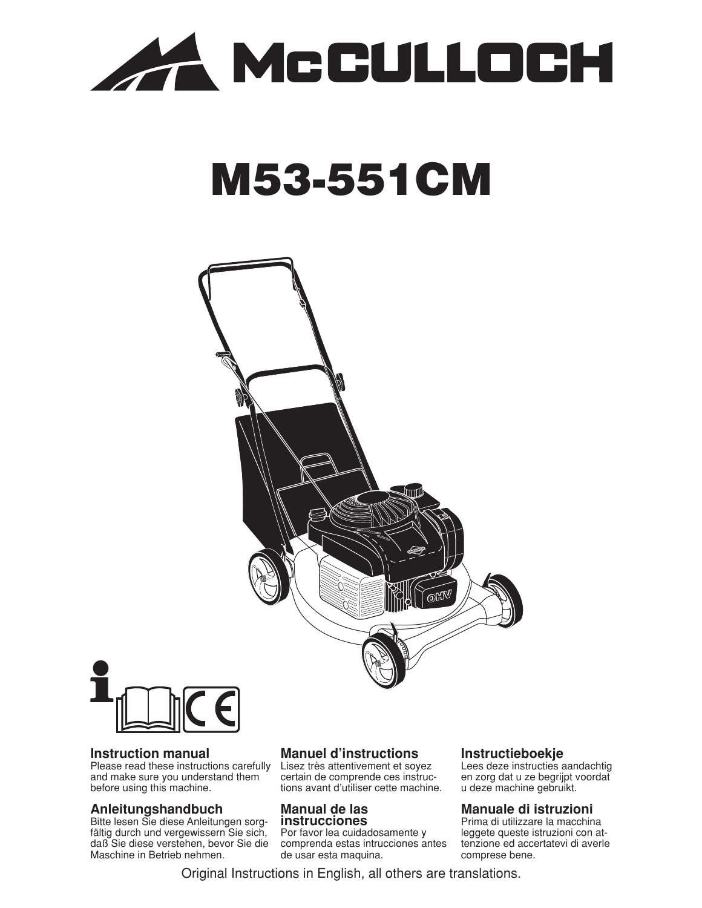

# **M53-551CM**





#### **Instruction manual**

Please read these instructions carefully and make sure you understand them before using this machine.

#### **Anleitungshandbuch**

Bitte lesen Sie diese Anleitungen sorgfältig durch und vergewissern Sie sich, daß Sie diese verstehen, bevor Sie die Maschine in Betrieb nehmen.

#### **Manuel d'instructions**

Lisez très attentivement et soyez certain de comprende ces instructions avant d'utiliser cette machine.

#### **Manual de las instrucciones**

Por favor lea cuidadosamente y comprenda estas intrucciones antes de usar esta maquina.

#### **Instructieboekje**

Lees deze instructies aandachtig en zorg dat u ze begrijpt voordat u deze machine gebruikt.

#### **Manuale di istruzioni**

Prima di utilizzare la macchina leggete queste istruzioni con attenzione ed accertatevi di averle comprese bene.

Original Instructions in English, all others are translations.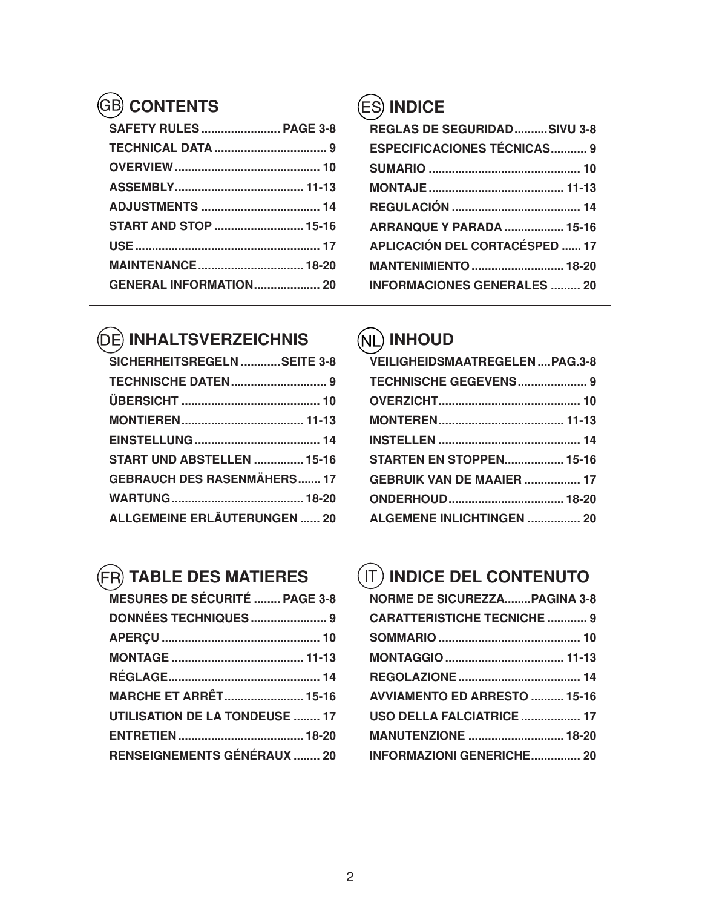# **CONTENTS**

| <b>SAFETY RULES  PAGE 3-8</b> |  |
|-------------------------------|--|
|                               |  |
|                               |  |
|                               |  |
|                               |  |
| <b>START AND STOP  15-16</b>  |  |
|                               |  |
| <b>MAINTENANCE 18-20</b>      |  |
| <b>GENERAL INFORMATION 20</b> |  |
|                               |  |

# **INHALTSVERZEICHNIS**

| SICHERHEITSREGELN SEITE 3-8         |  |
|-------------------------------------|--|
|                                     |  |
|                                     |  |
|                                     |  |
|                                     |  |
| <b>START UND ABSTELLEN  15-16</b>   |  |
| <b>GEBRAUCH DES RASENMÄHERS 17</b>  |  |
|                                     |  |
| <b>ALLGEMEINE ERLÄUTERUNGEN  20</b> |  |
|                                     |  |

# **TABLE DES MATIERES**

| <b>MESURES DE SÉCURITÉ  PAGE 3-8</b>  |  |
|---------------------------------------|--|
| <b>DONNÉES TECHNIQUES  9</b>          |  |
|                                       |  |
|                                       |  |
|                                       |  |
| <b>MARCHE ET ARRÊT 15-16</b>          |  |
| <b>UTILISATION DE LA TONDEUSE  17</b> |  |
|                                       |  |
| <b>RENSEIGNEMENTS GÉNÉRAUX  20</b>    |  |

# **INDICE**

| REGLAS DE SEGURIDAD SIVU 3-8          |  |
|---------------------------------------|--|
| <b>ESPECIFICACIONES TÉCNICAS 9</b>    |  |
|                                       |  |
|                                       |  |
|                                       |  |
| <b>ARRANQUE Y PARADA  15-16</b>       |  |
| <b>APLICACIÓN DEL CORTACÉSPED  17</b> |  |
| <b>MANTENIMIENTO  18-20</b>           |  |
| <b>INFORMACIONES GENERALES  20</b>    |  |

# **INHOUD**

| <b>VEILIGHEIDSMAATREGELENPAG.3-8</b> |  |
|--------------------------------------|--|
| TECHNISCHE GEGEVENS 9                |  |
|                                      |  |
|                                      |  |
|                                      |  |
| <b>STARTEN EN STOPPEN 15-16</b>      |  |
| GEBRUIK VAN DE MAAIER  17            |  |
|                                      |  |
| <b>ALGEMENE INLICHTINGEN  20</b>     |  |

# **INDICE DEL CONTENUTO**

| <b>NORME DE SICUREZZAPAGINA 3-8</b> |
|-------------------------------------|
| <b>CARATTERISTICHE TECNICHE  9</b>  |
|                                     |
|                                     |
|                                     |
| <b>AVVIAMENTO ED ARRESTO  15-16</b> |
| USO DELLA FALCIATRICE  17           |
| <b>MANUTENZIONE  18-20</b>          |
| <b>INFORMAZIONI GENERICHE 20</b>    |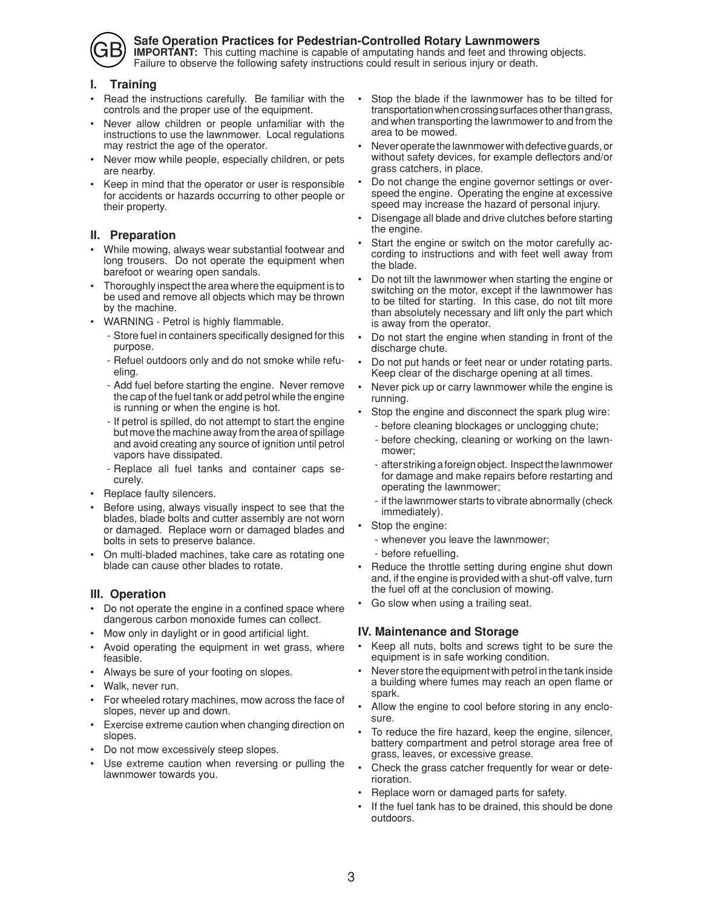

### **Safe Operation Practices for Pedestrian-Controlled Rotary Lawnmowers**

**IMPORTANT:** This cutting machine is capable of amputating hands and feet and throwing objects. Failure to observe the following safety instructions could result in serious injury or death.

#### **I. Training**

- Read the instructions carefully. Be familiar with the controls and the proper use of the equipment.
- Never allow children or people unfamiliar with the instructions to use the lawnmower. Local regulations may restrict the age of the operator.
- Never mow while people, especially children, or pets are nearby.
- Keep in mind that the operator or user is responsible for accidents or hazards occurring to other people or their property.

#### **II. Preparation**

- While mowing, always wear substantial footwear and long trousers. Do not operate the equipment when barefoot or wearing open sandals.
- Thoroughly inspect the area where the equipment is to be used and remove all objects which may be thrown by the machine.
- WARNING Petrol is highly flammable.
	- Store fuel in containers specifically designed for this purpose.
	- Refuel outdoors only and do not smoke while refueling.
	- Add fuel before starting the engine. Never remove the cap of the fuel tank or add petrol while the engine is running or when the engine is hot.
	- If petrol is spilled, do not attempt to start the engine but move the machine away from the area of spillage and avoid creating any source of ignition until petrol vapors have dissipated.
	- Replace all fuel tanks and container caps securely.
- Replace faulty silencers.
- Before using, always visually inspect to see that the blades, blade bolts and cutter assembly are not worn or dam aged. Replace worn or damaged blades and bolts in sets to preserve balance.
- On multi-bladed machines, take care as rotating one blade can cause other blades to rotate.

#### **III. Operation**

- Do not operate the engine in a confined space where dangerous carbon monoxide fumes can collect.
- Mow only in daylight or in good artificial light.
- Avoid operating the equipment in wet grass, where feasible.
- Always be sure of your footing on slopes.
- Walk, never run.
- For wheeled rotary machines, mow across the face of slopes, never up and down.
- Exercise extreme caution when changing direction on slopes.
- Do not mow excessively steep slopes.
- Use extreme caution when reversing or pulling the lawnmower towards you.
- Stop the blade if the lawnmower has to be tilted for transportation when crossing surfaces other than grass, and when transporting the lawnmower to and from the area to be mowed.
- Never operate the lawnmower with defective guards, or without safety devices, for example deflectors and/or grass catchers, in place.
- Do not change the engine governor settings or overspeed the engine. Operating the engine at excessive speed may increase the hazard of personal injury.
- Disengage all blade and drive clutches before starting the engine.
- Start the engine or switch on the motor carefully according to instructions and with feet well away from the blade.
- Do not tilt the lawnmower when starting the engine or switching on the motor, except if the lawnmower has to be tilted for starting. In this case, do not tilt more than absolutely necessary and lift only the part which is away from the operator.
- Do not start the engine when standing in front of the discharge chute.
- Do not put hands or feet near or under rotating parts. Keep clear of the discharge opening at all times.
- Never pick up or carry lawnmower while the engine is running.
- Stop the engine and disconnect the spark plug wire:
- before cleaning blockages or unclogging chute;
- before checking, cleaning or working on the lawnmower;
- after striking a foreign object. Inspect the lawnmower for damage and make repairs before restarting and operating the lawnmower;
- if the lawnmower starts to vibrate abnormally (check immediately).
- Stop the engine:
- whenever you leave the lawnmower;
- before refuelling.
- Reduce the throttle setting during engine shut down and, if the engine is provided with a shut-off valve, turn the fuel off at the conclusion of mowing.
- Go slow when using a trailing seat.

#### **IV. Maintenance and Storage**

- Keep all nuts, bolts and screws tight to be sure the equipment is in safe working condition.
- Never store the equipment with petrol in the tank inside a building where fumes may reach an open flame or spark.
- Allow the engine to cool before storing in any enclosure.
- To reduce the fire hazard, keep the engine, silencer, battery compartment and petrol storage area free of grass, leaves, or excessive grease.
- Check the grass catcher frequently for wear or deterioration.
- Replace worn or damaged parts for safety.
- If the fuel tank has to be drained, this should be done outdoors.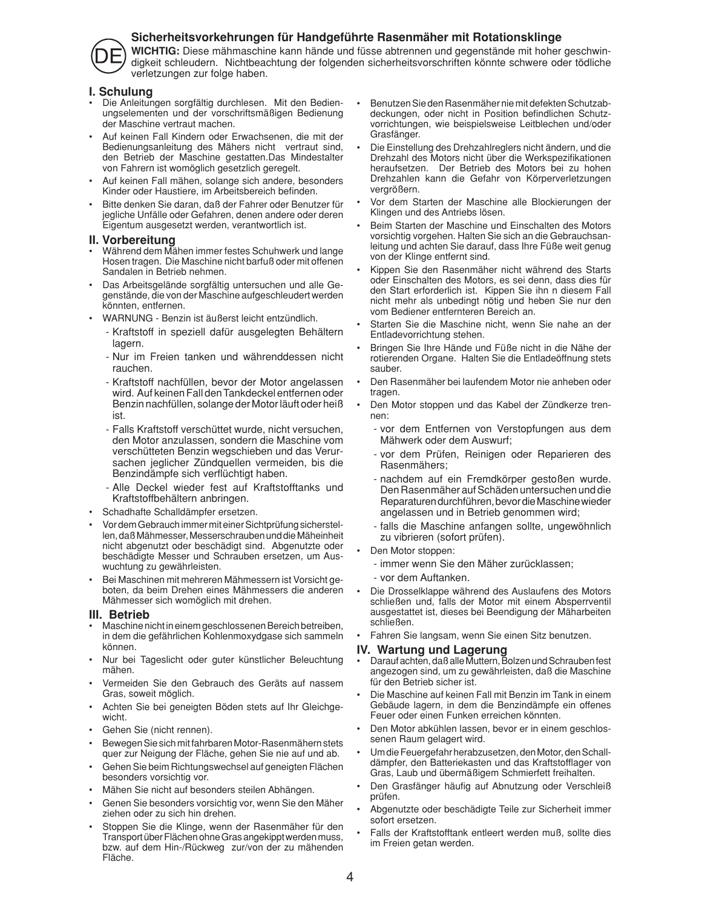#### **Sicherheitsvorkehrungen für Handgeführte Rasenmäher mit Rotationsklinge**



**WICHTIG:** Diese mähmaschine kann hände und füsse abtrennen und gegenstände mit hoher geschwindigkeit schleudern. Nichtbeachtung der folgenden sicherheitsvorschriften könnte schwere oder tödliche verletzungen zur folge haben.

#### **I. Schulung**

- Die Anleitungen sorgfältig durchlesen. Mit den Bedienungselementen und der vorschriftsmäßigen Bedienung der Maschine vertraut machen.
- Auf keinen Fall Kindern oder Erwachsenen, die mit der Bedienungsanleitung des Mähers nicht vertraut sind, den Betrieb der Maschine gestatten.Das Mindestalter von Fahrern ist womöglich gesetzlich geregelt.
- Auf keinen Fall mähen, solange sich andere, besonders Kinder oder Haustiere, im Arbeitsbereich befinden.
- Bitte denken Sie daran, daß der Fahrer oder Benutzer für jegliche Unfälle oder Gefahren, denen andere oder deren Eigentum ausgesetzt werden, verantwortlich ist.

#### **II. Vorbereitung**

- Während dem Mähen immer festes Schuhwerk und lange Hosen tragen. Die Maschine nicht barfuß oder mit offenen Sandalen in Betrieb nehmen.
- Das Arbeitsgelände sorgfältig untersuchen und alle Gegenstände, die von der Maschine aufgeschleudert werden könnten, entfernen.
- WARNUNG Benzin ist äußerst leicht entzündlich.
	- Kraftstoff in speziell dafür ausgelegten Behältern lagern.
	- Nur im Freien tanken und währenddessen nicht rauchen.
	- Kraftstoff nachfüllen, bevor der Motor angelassen wird. Auf keinen Fall den Tankdeckel entfernen oder Benzin nachfüllen, solange der Motor läuft oder heiß ist.
	- Falls Kraftstoff verschüttet wurde, nicht versuchen, den Motor anzulassen, sondern die Maschine vom verschütteten Benzin wegschieben und das Verursachen jeglicher Zündquellen vermeiden, bis die Benzindämpfe sich verflüchtigt haben.
	- Alle Deckel wieder fest auf Kraftstofftanks und Kraftstoffbehältern anbringen.
- Schadhafte Schalldämpfer ersetzen.
- Vor dem Gebrauch immer mit einer Sichtprüfung sicherstellen, daß Mähmesser, Messerschrauben und die Mäheinheit nicht abgenutzt oder beschädigt sind. Abgenutzte oder beschädigte Messer und Schrauben ersetzen, um Auswuchtung zu gewährleisten.
- Bei Maschinen mit mehreren Mähmessern ist Vorsicht geboten, da beim Drehen eines Mähmessers die anderen Mähmesser sich womöglich mit drehen.

#### **III. Betrieb**

- Maschine nicht in einem geschlossenen Bereich betreiben, in dem die gefährlichen Kohlenmoxydgase sich sammeln können.
- Nur bei Tageslicht oder guter künstlicher Beleuchtung mähen.
- Vermeiden Sie den Gebrauch des Geräts auf nassem Gras, soweit möglich.
- Achten Sie bei geneigten Böden stets auf Ihr Gleichgewicht.
- Gehen Sie (nicht rennen).
- Bewegen Sie sich mit fahrbaren Motor-Rasenmähern stets quer zur Neigung der Fläche, gehen Sie nie auf und ab.
- Gehen Sie beim Richtungswechsel auf geneigten Flächen besonders vorsichtig vor.
- Mähen Sie nicht auf besonders steilen Abhängen.
- Genen Sie besonders vorsichtig vor, wenn Sie den Mäher ziehen oder zu sich hin drehen.
- Stoppen Sie die Klinge, wenn der Rasenmäher für den Transport über Flächen ohne Gras angekippt werden muss, bzw. auf dem Hin-/Rückweg zur/von der zu mähenden Fläche.
- Benutzen Sie den Rasenmäher nie mit defekten Schutzabdeckungen, oder nicht in Position befindlichen Schutzvorrichtungen, wie beispielsweise Leitblechen und/oder Grasfänger.
- Die Einstellung des Drehzahlreglers nicht ändern, und die Drehzahl des Motors nicht über die Werkspezifikationen heraufsetzen. Der Betrieb des Motors bei zu hohen Drehzahlen kann die Gefahr von Körperverletzungen vergrößern.
- Vor dem Starten der Maschine alle Blockierungen der Klingen und des Antriebs lösen.
- Beim Starten der Maschine und Einschalten des Motors vorsichtig vorgehen. Halten Sie sich an die Gebrauchsanleitung und achten Sie darauf, dass Ihre Füße weit genug von der Klinge entfernt sind.
- Kippen Sie den Rasenmäher nicht während des Starts oder Einschalten des Motors, es sei denn, dass dies für den Start erforderlich ist. Kippen Sie ihn n diesem Fall nicht mehr als unbedingt nötig und heben Sie nur den vom Bediener entfernteren Bereich an.
- Starten Sie die Maschine nicht, wenn Sie nahe an der Entladevorrichtung stehen.
- Bringen Sie Ihre Hände und Füße nicht in die Nähe der rotierenden Organe. Halten Sie die Entladeöffnung stets sauber.
- Den Rasenmäher bei laufendem Motor nie anheben oder tragen.
- Den Motor stoppen und das Kabel der Zündkerze trennen:
	- vor dem Entfernen von Verstopfungen aus dem Mähwerk oder dem Auswurf;
	- vor dem Prüfen, Reinigen oder Reparieren des Rasenmähers;
	- nachdem auf ein Fremdkörper gestoßen wurde. Den Rasenmäher auf Schäden untersuchen und die Reparaturen durchführen, bevor die Maschine wieder angelassen und in Betrieb genommen wird;
	- falls die Maschine anfangen sollte, ungewöhnlich zu vibrieren (sofort prüfen).
- Den Motor stoppen:
	- immer wenn Sie den Mäher zurücklassen;
	- vor dem Auftanken.
- Die Drosselklappe während des Auslaufens des Motors schließen und, falls der Motor mit einem Absperrventil ausgestattet ist, dieses bei Beendigung der Mäharbeiten schließen.
- Fahren Sie langsam, wenn Sie einen Sitz benutzen.

#### **IV. Wartung und Lagerung**

- Darauf achten, daß alle Muttern, Bolzen und Schrauben fest angezogen sind, um zu gewährleisten, daß die Maschine für den Betrieb sicher ist.
- Die Maschine auf keinen Fall mit Benzin im Tank in einem Gebäude lagern, in dem die Benzindämpfe ein offenes Feuer oder einen Funken erreichen könnten.
- Den Motor abkühlen lassen, bevor er in einem geschlossenen Raum gelagert wird.
- Um die Feuergefahr herabzusetzen, den Motor, den Schalldämpfer, den Batteriekasten und das Kraftstofflager von Gras, Laub und übermäßigem Schmierfett freihalten.
- Den Grasfänger häufig auf Abnutzung oder Verschleiß prüfen.
- Abgenutzte oder beschädigte Teile zur Sicherheit immer sofort ersetzen.
- Falls der Kraftstofftank entleert werden muß, sollte dies im Freien getan werden.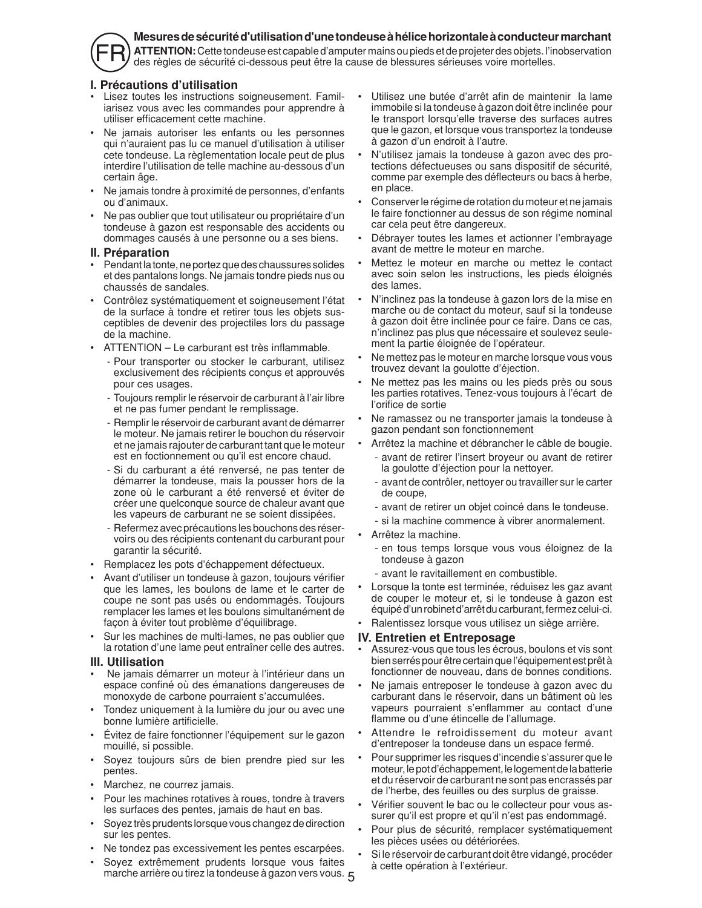#### **Mesures de sécurité d'utilisation d'une tondeuse à hélice horizontale à conducteur marchant**



**ATTENTION:** Cette tondeuse est capable d'amputer mains ou pieds et de projeter des objets. l'inobservation des règles de sécurité ci-dessous peut être la cause de blessures sérieuses voire mortelles.

#### **I. Précautions d'utilisation**

- Lisez toutes les instructions soigneusement. Familiarisez vous avec les commandes pour apprendre à utiliser efficacement cette machine.
- Ne jamais autoriser les enfants ou les personnes qui n'auraient pas lu ce manuel d'utilisation à utiliser cete tondeuse. La règlementation locale peut de plus interdire l'utilisation de telle machine au-dessous d'un certain âge.
- Ne jamais tondre à proximité de personnes, d'enfants ou d'animaux.
- Ne pas oublier que tout utilisateur ou propriétaire d'un tondeuse à gazon est responsable des accidents ou dommages causés à une personne ou a ses biens.

#### **II. Préparation**

- Pendant la tonte, ne portez que des chaussures solides et des pantalons longs. Ne jamais tondre pieds nus ou chaussés de sandales.
- Contrôlez systématiquement et soigneusement l'état de la surface à tondre et retirer tous les objets susceptibles de devenir des projectiles lors du passage de la machine.
- ATTENTION Le carburant est très inflammable.
	- Pour transporter ou stocker le carburant, utilisez exclusivement des récipients conçus et approuvés pour ces usages.
	- Toujours remplir le réservoir de carburant à l'air libre et ne pas fumer pendant le remplissage.
	- Remplir le réservoir de carburant avant de démarrer le moteur. Ne jamais retirer le bouchon du réservoir et ne jamais rajouter de carburant tant que le moteur est en foctionnement ou qu'il est encore chaud.
	- Si du carburant a été renversé, ne pas tenter de démarrer la tondeuse, mais la pousser hors de la zone où le carburant a été renversé et éviter de créer une quelconque source de chaleur avant que les vapeurs de carburant ne se soient dissipées.
	- Refermez avec précautions les bouchons des réservoirs ou des récipients contenant du carburant pour garantir la sécurité.
- Remplacez les pots d'échappement défectueux.
- Avant d'utiliser un tondeuse à gazon, toujours vérifier que les lames, les boulons de lame et le carter de coupe ne sont pas usés ou endommagés. Toujours remplacer les lames et les boulons simultanément de façon à éviter tout problème d'équilibrage.
- Sur les machines de multi-lames, ne pas oublier que la rotation d'une lame peut entraîner celle des autres.

#### **III. Utilisation**

- Ne jamais démarrer un moteur à l'intérieur dans un espace confiné où des émanations dangereuses de monoxyde de carbone pourraient s'accumulées.
- Tondez uniquement à la lumière du jour ou avec une bonne lumière artificielle.
- Évitez de faire fonctionner l'équipement sur le gazon mouillé, si possible.
- Soyez toujours sûrs de bien prendre pied sur les pentes.
- Marchez, ne courrez jamais.
- Pour les machines rotatives à roues, tondre à travers les surfaces des pentes, jamais de haut en bas.
- Soyez très prudents lorsque vous changez de direction sur les pentes.
- Ne tondez pas excessivement les pentes escarpées.
- 5 marche arrière ou tirez la tondeuse à gazon vers vous. • Soyez extrêmement prudents lorsque vous faites
- Utilisez une butée d'arrêt afin de maintenir la lame immobile si la tondeuse à gazon doit être inclinée pour le transport lorsqu'elle traverse des surfaces autres que le gazon, et lorsque vous transportez la tondeuse à gazon d'un endroit à l'autre.
- N'utilisez jamais la tondeuse à gazon avec des protections défectueuses ou sans dispositif de sécurité, comme par exemple des déflecteurs ou bacs à herbe, en place.
- Conserver le régime de rotation du moteur et ne jamais le faire fonctionner au dessus de son régime nominal car cela peut être dangereux.
- Débrayer toutes les lames et actionner l'embrayage avant de mettre le moteur en marche.
- Mettez le moteur en marche ou mettez le contact avec soin selon les instructions, les pieds éloignés des lames.
- N'inclinez pas la tondeuse à gazon lors de la mise en marche ou de contact du moteur, sauf si la tondeuse à gazon doit être inclinée pour ce faire. Dans ce cas, n'inclinez pas plus que nécessaire et soulevez seulement la partie éloignée de l'opérateur.
- Ne mettez pas le moteur en marche lorsque vous vous trouvez devant la goulotte d'éjection.
- Ne mettez pas les mains ou les pieds près ou sous les parties rotatives. Tenez-vous toujours à l'écart de l'orifice de sortie
- Ne ramassez ou ne transporter jamais la tondeuse à gazon pendant son fonctionnement
- Arrêtez la machine et débrancher le câble de bougie.
	- avant de retirer l'insert broyeur ou avant de retirer la goulotte d'éjection pour la nettoyer.
	- avant de contrôler, nettoyer ou travailler sur le carter de coupe,
	- avant de retirer un objet coincé dans le tondeuse.
	- si la machine commence à vibrer anormalement.
- Arrêtez la machine.
	- en tous temps lorsque vous vous éloignez de la tondeuse à gazon
	- avant le ravitaillement en combustible.
- Lorsque la tonte est terminée, réduisez les gaz avant de couper le moteur et, si le tondeuse à gazon est équipé d'un robinet d'arrêt du carburant, fermez celui-ci.
- Ralentissez lorsque vous utilisez un siège arrière.

#### **IV. Entretien et Entreposage**

- Assurez-vous que tous les écrous, boulons et vis sont bien serrés pour être certain que l'équipement est prêt à fonctionner de nouveau, dans de bonnes conditions.
- Ne jamais entreposer le tondeuse à gazon avec du carburant dans le réservoir, dans un bâtiment où les vapeurs pourraient s'enflammer au contact d'une flamme ou d'une étincelle de l'allumage.
- Attendre le refroidissement du moteur avant d'entreposer la tondeuse dans un espace fermé.
- Pour supprimer les risques d'incendie s'assurer que le moteur, le pot d'échappement, le logement de la batterie et du réservoir de carburant ne sont pas encrassés par de l'herbe, des feuilles ou des surplus de graisse.
- Vérifier souvent le bac ou le collecteur pour vous assurer qu'il est propre et qu'il n'est pas endommagé.
- Pour plus de sécurité, remplacer systématiquement les pièces usées ou détériorées.
- Si le réservoir de carburant doit être vidangé, procéder à cette opération à l'extérieur.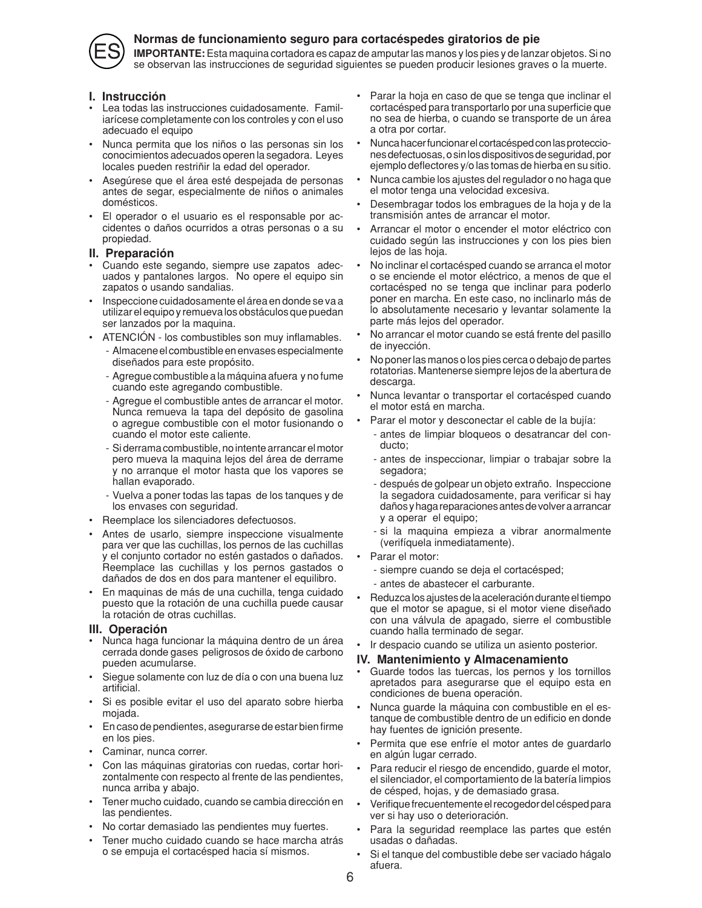#### **Normas de funcionamiento seguro para cortacéspedes giratorios de pie**



**IMPORTANTE:** Esta maquina cortadora es capaz de amputar las manos y los pies y de lanzar objetos. Si no se observan las instrucciones de seguridad siguientes se pueden producir lesiones graves o la muerte.

#### **I. Instrucción**

- Lea todas las instrucciones cuidadosamente. Familiarícese completamente con los controles y con el uso adecuado el equipo
- Nunca permita que los niños o las personas sin los conocimientos adecuados operen la segadora. Leyes locales pueden restriñir la edad del operador.
- Asegúrese que el área esté despejada de personas antes de segar, especialmente de niños o animales domésticos.
- El operador o el usuario es el responsable por accidentes o daños ocurridos a otras personas o a su propiedad.

#### **II. Preparación**

- Cuando este segando, siempre use zapatos adecuados y pantalones largos. No opere el equipo sin zapatos o usando sandalias.
- Inspeccione cuidadosamente el área en donde se va a utilizar el equipo y remueva los obstáculos que puedan ser lanzados por la maquina.
- ATENCIÓN los combustibles son muy inflamables.
	- Almacene el combustible en envases especialmente diseñados para este propósito.
	- Agregue combustible a la máquina afuera y no fume cuando este agregando combustible.
	- Agregue el combustible antes de arrancar el motor. Nunca remueva la tapa del depósito de gasolina o agregue combustible con el motor fusionando o cuando el motor este caliente.
	- Si derrama combustible, no intente arrancar el motor pero mueva la maquina lejos del área de derrame y no arranque el motor hasta que los vapores se hallan evaporado.
	- Vuelva a poner todas las tapas de los tanques y de los envases con seguridad.
- Reemplace los silenciadores defectuosos.
- Antes de usarlo, siempre inspeccione visualmente para ver que las cuchillas, los pernos de las cuchillas y el conjunto cortador no estén gastados o dañados. Reemplace las cuchillas y los pernos gastados o dañados de dos en dos para mantener el equilibro.
- En maquinas de más de una cuchilla, tenga cuidado puesto que la rotación de una cuchilla puede causar la rotación de otras cuchillas.

#### **III. Operación**

- Nunca haga funcionar la máquina dentro de un área cerrada donde gases peligrosos de óxido de carbono pueden acumularse.
- Siegue solamente con luz de día o con una buena luz artificial.
- Si es posible evitar el uso del aparato sobre hierba mojada.
- En caso de pendientes, asegurarse de estar bien firme en los pies.
- Caminar, nunca correr.
- Con las máquinas giratorias con ruedas, cortar horizontalmente con respecto al frente de las pendientes, nunca arriba y abajo.
- Tener mucho cuidado, cuando se cambia dirección en las pendientes.
- No cortar demasiado las pendientes muy fuertes.
- Tener mucho cuidado cuando se hace marcha atrás o se empuja el cortacésped hacia sí mismos.
- Parar la hoja en caso de que se tenga que inclinar el cortacésped para transportarlo por una superficie que no sea de hierba, o cuando se transporte de un área a otra por cortar.
- Nunca hacer funcionar el cortacésped con las protecciones defectuosas, o sin los dispositivos de seguridad, por ejemplo deflectores y/o las tomas de hierba en su sitio.
- Nunca cambie los ajustes del regulador o no haga que el motor tenga una velocidad excesiva.
- Desembragar todos los embragues de la hoja y de la transmisión antes de arrancar el motor.
- Arrancar el motor o encender el motor eléctrico con cuidado según las instrucciones y con los pies bien lejos de las hoja.
- No inclinar el cortacésped cuando se arranca el motor o se enciende el motor eléctrico, a menos de que el cortacésped no se tenga que inclinar para poderlo poner en marcha. En este caso, no inclinarlo más de lo absolutamente necesario y levantar solamente la parte más lejos del operador.
- No arrancar el motor cuando se está frente del pasillo de inyección.
- No poner las manos o los pies cerca o debajo de partes rotatorias. Mantenerse siempre lejos de la abertura de descarga.
- Nunca levantar o transportar el cortacésped cuando el motor está en marcha.
- Parar el motor y desconectar el cable de la bujía:
	- antes de limpiar bloqueos o desatrancar del conducto;
	- antes de inspeccionar, limpiar o trabajar sobre la segadora:
	- después de golpear un objeto extraño. Inspeccione la segadora cuidadosamente, para verificar si hay daños y haga reparaciones antes de volver a arrancar y a operar el equipo;
	- si la maquina empieza a vibrar anormalmente (verifíquela inmediatamente).
- Parar el motor:
	- siempre cuando se deja el cortacésped;
	- antes de abastecer el carburante.
- Reduzca los ajustes de la aceleración durante el tiempo que el motor se apague, si el motor viene diseñado con una válvula de apagado, sierre el combustible cuando halla terminado de segar.
- Ir despacio cuando se utiliza un asiento posterior.

#### **IV. Mantenimiento y Almacenamiento**

- Guarde todos las tuercas, los pernos y los tornillos apretados para asegurarse que el equipo esta en condiciones de buena operación.
- Nunca guarde la máquina con combustible en el estanque de combustible dentro de un edificio en donde hay fuentes de ignición presente.
- Permita que ese enfríe el motor antes de guardarlo en algún lugar cerrado.
- Para reducir el riesgo de encendido, guarde el motor, el silenciador, el comportamiento de la batería limpios de césped, hojas, y de demasiado grasa.
- Verifique frecuentemente el recogedor del césped para ver si hay uso o deterioración.
- Para la seguridad reemplace las partes que estén usadas o dañadas.
- Si el tanque del combustible debe ser vaciado hágalo afuera.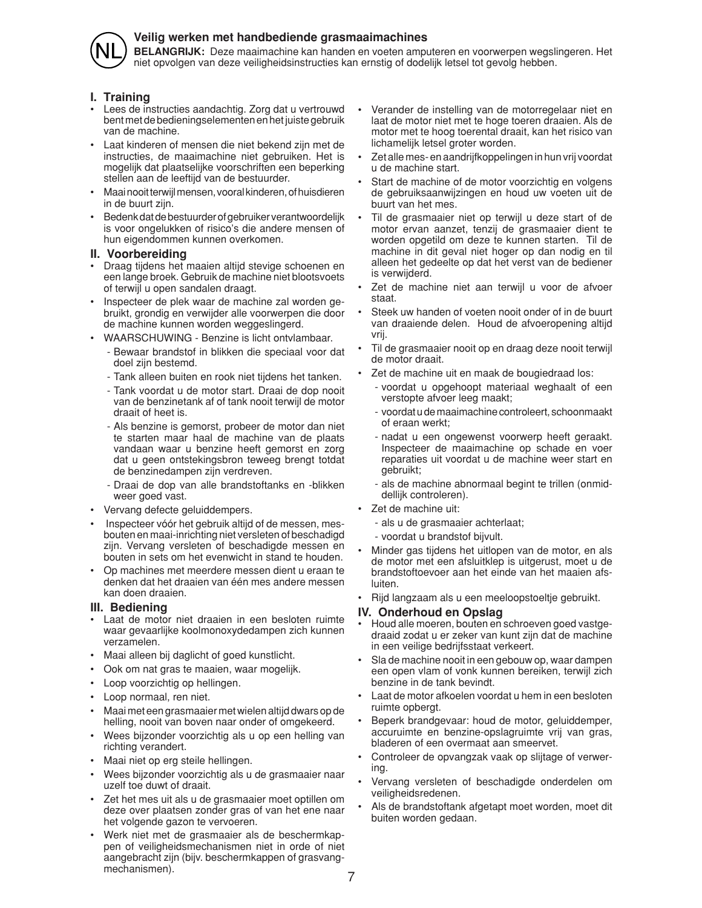

#### **Veilig werken met handbediende grasmaaimachines**

**BELANGRIJK:** Deze maaimachine kan handen en voeten amputeren en voorwerpen wegslingeren. Het niet opvolgen van deze veiligheidsinstructies kan ernstig of dodelijk letsel tot gevolg hebben.

#### **I. Training**

- Lees de instructies aandachtig. Zorg dat u vertrouwd bent met de bedieningselementen en het juiste gebruik van de machine.
- Laat kinderen of mensen die niet bekend zijn met de instructies, de maaimachine niet gebruiken. Het is mogelijk dat plaatselijke voorschriften een beperking stellen aan de leeftijd van de bestuurder.
- Maai nooit terwijl mensen, vooral kinderen, of huisdieren in de buurt zijn.
- Bedenk dat de bestuurder of gebruiker verantwoordelijk is voor ongelukken of risico's die andere mensen of hun eigendommen kunnen overkomen.

#### **II. Voorbereiding**

- Draag tijdens het maaien altijd stevige schoenen en een lange broek. Gebruik de machine niet blootsvoets of terwijl u open sandalen draagt.
- Inspecteer de plek waar de machine zal worden gebruikt, grondig en verwijder alle voorwerpen die door de machine kunnen worden weggeslingerd.
- WAARSCHUWING Benzine is licht ontvlambaar.
	- Bewaar brandstof in blikken die speciaal voor dat doel zijn bestemd.
	- Tank alleen buiten en rook niet tijdens het tanken.
	- Tank voordat u de motor start. Draai de dop nooit van de benzinetank af of tank nooit terwijl de motor draait of heet is.
	- Als benzine is gemorst, probeer de motor dan niet te starten maar haal de machine van de plaats vandaan waar u benzine heeft gemorst en zorg dat u geen ontstekingsbron teweeg brengt totdat de benzinedampen zijn verdreven.
	- Draai de dop van alle brandstoftanks en -blikken weer goed vast.
- Vervang defecte geluiddempers.
- Inspecteer vóór het gebruik altijd of de messen, mesbouten en maai-inrichting niet versleten of beschadigd zijn. Vervang versleten of beschadigde messen en bouten in sets om het evenwicht in stand te houden.
- Op machines met meerdere messen dient u eraan te denken dat het draaien van één mes andere messen kan doen draaien.

#### **III. Bediening**

- Laat de motor niet draaien in een besloten ruimte waar gevaarlijke koolmonoxydedampen zich kunnen verzamelen.
- Maai alleen bij daglicht of goed kunstlicht.
- Ook om nat gras te maaien, waar mogelijk.
- Loop voorzichtig op hellingen.
- Loop normaal, ren niet.
- Maai met een grasmaaier met wielen altijd dwars op de helling, nooit van boven naar onder of omgekeerd.
- Wees bijzonder voorzichtig als u op een helling van richting verandert.
- Maai niet op erg steile hellingen.
- Wees bijzonder voorzichtig als u de grasmaaier naar uzelf toe duwt of draait.
- Zet het mes uit als u de grasmaaier moet optillen om deze over plaatsen zonder gras of van het ene naar het volgende gazon te vervoeren.
- Werk niet met de grasmaaier als de beschermkappen of veiligheidsmechanismen niet in orde of niet aangebracht zijn (bijv. beschermkappen of grasvangmechanismen).
- Verander de instelling van de motorregelaar niet en laat de motor niet met te hoge toeren draaien. Als de motor met te hoog toerental draait, kan het risico van lichamelijk letsel groter worden.
- Zet alle mes- en aandrijfkoppelingen in hun vrij voordat u de machine start.
- Start de machine of de motor voorzichtig en volgens de gebruiksaanwijzingen en houd uw voeten uit de buurt van het mes.
- Til de grasmaaier niet op terwijl u deze start of de motor ervan aanzet, tenzij de grasmaaier dient te worden opgetild om deze te kunnen starten. Til de ma chine in dit geval niet hoger op dan nodig en til alleen het gedeelte op dat het verst van de bediener is verwijderd.
- Zet de machine niet aan terwijl u voor de afvoer staat.
- Steek uw handen of voeten nooit onder of in de buurt van draaiende delen. Houd de afvoeropening altijd vrij.
- Til de grasmaaier nooit op en draag deze nooit terwijl de motor draait.
- Zet de machine uit en maak de bougiedraad los:
	- voordat u opgehoopt materiaal weghaalt of een verstopte afvoer leeg maakt;
	- voordat u de maaimachine controleert, schoonmaakt of eraan werkt;
	- nadat u een ongewenst voorwerp heeft geraakt. Inspecteer de maaimachine op schade en voer reparaties uit voordat u de machine weer start en gebruikt;
	- als de machine abnormaal begint te trillen (onmiddellijk controleren).
- Zet de machine uit:
	- als u de grasmaaier achterlaat;
	- voordat u brandstof bijvult.
- Minder gas tijdens het uitlopen van de motor, en als de motor met een afsluitklep is uitgerust, moet u de brandstoftoevoer aan het einde van het maaien afsluiten.
- Rijd langzaam als u een meeloopstoeltje gebruikt.

#### **IV. Onderhoud en Opslag**

- Houd alle moeren, bouten en schroeven goed vastgedraaid zodat u er zeker van kunt zijn dat de machine in een veilige bedrijfsstaat verkeert.
- Sla de machine nooit in een gebouw op, waar dampen een open vlam of vonk kunnen bereiken, terwijl zich benzine in de tank bevindt.
- Laat de motor afkoelen voordat u hem in een besloten ruimte opbergt.
- Beperk brandgevaar: houd de motor, geluiddemper, accuruimte en benzine-opslagruimte vrij van gras, bladeren of een overmaat aan smeervet.
- Controleer de opvangzak vaak op slijtage of verwering.
- Vervang versleten of beschadigde onderdelen om veiligheidsredenen.
- Als de brandstoftank afgetapt moet worden, moet dit buiten worden gedaan.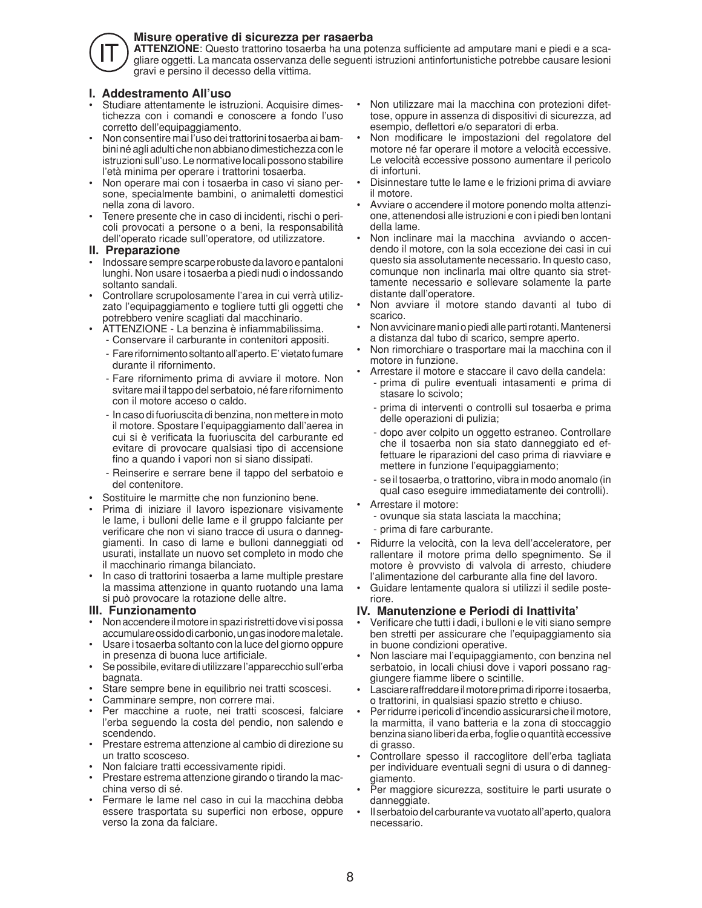

#### **Misure operative di sicurezza per rasaerba**

ATTENZIONE: Questo trattorino tosaerba ha una potenza sufficiente ad amputare mani e piedi e a scagliare oggetti. La mancata osservanza delle seguenti istruzioni antinfortunistiche potrebbe causare lesioni gravi e persino il decesso della vittima.

#### **I. Addestramento All'uso**

- Studiare attentamente le istruzioni. Acquisire dimestichezza con i comandi e conoscere a fondo l'uso corretto dell'equipaggiamento.
- Non consentire mai l'uso dei trattorini tosaerba ai bambini né agli adulti che non abbiano dimestichezza con le istruzioni sull'uso. Le normative locali possono stabilire l'età minima per operare i trattorini tosaerba.
- Non operare mai con i tosaerba in caso vi siano persone, specialmente bambini, o animaletti domestici nella zona di lavoro.
- Tenere presente che in caso di incidenti, rischi o pericoli provocati a persone o a beni, la responsabilità dell'operato ricade sull'operatore, od utilizzatore.

#### **II. Preparazione**

- Indossare sempre scarpe robuste da lavoro e pantaloni lunghi. Non usare i tosaerba a piedi nudi o indossando soltanto sandali.
- Controllare scrupolosamente l'area in cui verrà utilizzato l'equipaggiamento e togliere tutti gli oggetti che potrebbero venire scagliati dal macchinario.
- ATTENZIONE La benzina è infiammabilissima.
	- Conservare il carburante in contenitori appositi.
	- Fare rifornimento soltanto all'aperto. E' vietato fumare durante il rifornimento.
	- Fare rifornimento prima di avviare il motore. Non svitare mai il tappo del serbatoio, né fare rifornimento con il motore acceso o caldo.
	- In caso di fuoriuscita di benzina, non mettere in moto il motore. Spostare l'equipaggiamento dall'aerea in cui si è verificata la fuoriuscita del carburante ed evitare di provocare qualsiasi tipo di accensione fino a quando i vapori non si siano dissipati.
- Reinserire e serrare bene il tappo del serbatoio e del contenitore.
- Sostituire le marmitte che non funzionino bene.
- Prima di iniziare il lavoro ispezionare visivamente le lame, i bulloni delle lame e il gruppo falciante per verificare che non vi siano tracce di usura o danneggiamenti. In caso di lame e bulloni danneggiati od usurati, installate un nuovo set completo in modo che il macchinario rimanga bilanciato.
- In caso di trattorini tosaerba a lame multiple prestare la massima attenzione in quanto ruotando una lama si può provocare la rotazione delle altre.

#### **III. Funzionamento**

- Non accendere il motore in spazi ristretti dove vi si possa accumulare ossido di carbonio, un gas inodore ma letale.
- Usare i tosaerba soltanto con la luce del giorno oppure in presenza di buona luce artificiale.
- Se possibile, evitare di utilizzare l'apparecchio sull'erba bagnata.
- Stare sempre bene in equilibrio nei tratti scoscesi.
- Camminare sempre, non correre mai.
- Per macchine a ruote, nei tratti scoscesi, falciare l'erba seguendo la costa del pendio, non salendo e scendendo.
- Prestare estrema attenzione al cambio di direzione su un tratto scosceso.
- Non falciare tratti eccessivamente ripidi.
- Prestare estrema attenzione girando o tirando la macchina verso di sé.
- Fermare le lame nel caso in cui la macchina debba essere trasportata su superfici non erbose, oppure verso la zona da falciare.
- Non utilizzare mai la macchina con protezioni difettose, oppure in assenza di dispositivi di sicurezza, ad esempio, deflettori e/o separatori di erba.
- Non modificare le impostazioni del regolatore del motore né far operare il motore a velocità eccessive. Le velocità eccessive possono aumentare il pericolo di infortuni.
- Disinnestare tutte le lame e le frizioni prima di avviare il motore.
- Avviare o accendere il motore ponendo molta attenzione, attenendosi alle istruzioni e con i piedi ben lontani della lame.
- Non inclinare mai la macchina avviando o accendendo il motore, con la sola eccezione dei casi in cui questo sia assolutamente necessario. In questo caso, comunque non inclinarla mai oltre quanto sia strettamente necessario e sollevare solamente la parte distante dall'operatore.
- Non avviare il motore stando davanti al tubo di scarico.
- Non avvicinare mani o piedi alle parti rotanti. Mantenersi a distanza dal tubo di scarico, sempre aperto.
- Non rimorchiare o trasportare mai la macchina con il motore in funzione.
- Arrestare il motore e staccare il cavo della candela:
	- prima di pulire eventuali intasamenti e prima di stasare lo scivolo;
	- prima di interventi o controlli sul tosaerba e prima delle operazioni di pulizia;
	- dopo aver colpito un oggetto estraneo. Controllare che il tosaerba non sia stato danneggiato ed effettuare le riparazioni del caso prima di riavviare e mettere in funzione l'equipaggiamento;
	- se il tosaerba, o trattorino, vibra in modo anomalo (in qual caso eseguire immediatamente dei controlli).
- Arrestare il motore:
	- ovunque sia stata lasciata la macchina;
	- prima di fare carburante.
- Ridurre la velocità, con la leva dell'acceleratore, per rallentare il motore prima dello spegnimento. Se il motore è provvisto di valvola di arresto, chiudere l'alimentazione del carburante alla fine del lavoro.
- Guidare lentamente qualora si utilizzi il sedile posteriore.

#### **IV. Manutenzione e Periodi di Inattivita'**

- Verificare che tutti i dadi, i bulloni e le viti siano sempre ben stretti per assicurare che l'equipaggiamento sia in buone condizioni operative.
- Non lasciare mai l'equipaggiamento, con benzina nel serbatoio, in locali chiusi dove i vapori possano raggiungere fiamme libere o scintille.
- Lasciare raffreddare il motore prima di riporre i tosaerba, o trattorini, in qualsiasi spazio stretto e chiuso.
- Per ridurre i pericoli d'incendio assicurarsi che il motore, la marmitta, il vano batteria e la zona di stoccaggio benzina siano liberi da erba, foglie o quantità eccessive di grasso.
- Controllare spesso il raccoglitore dell'erba tagliata per individuare eventuali segni di usura o di danneggiamento.
- Per maggiore sicurezza, sostituire le parti usurate o danneggiate.
- Il serbatoio del carburante va vuotato all'aperto, qualora necessario.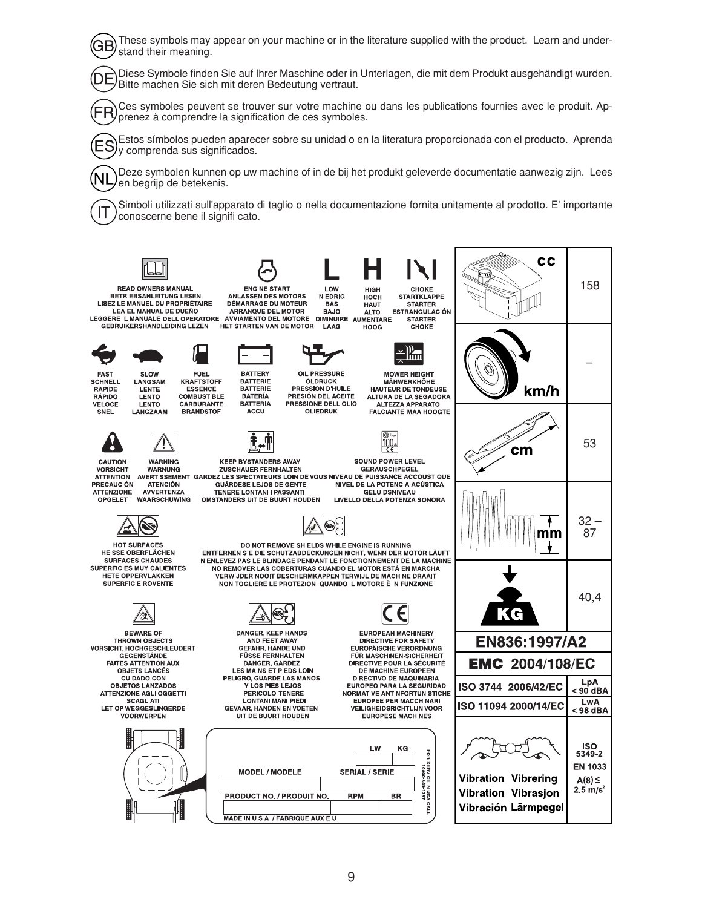

9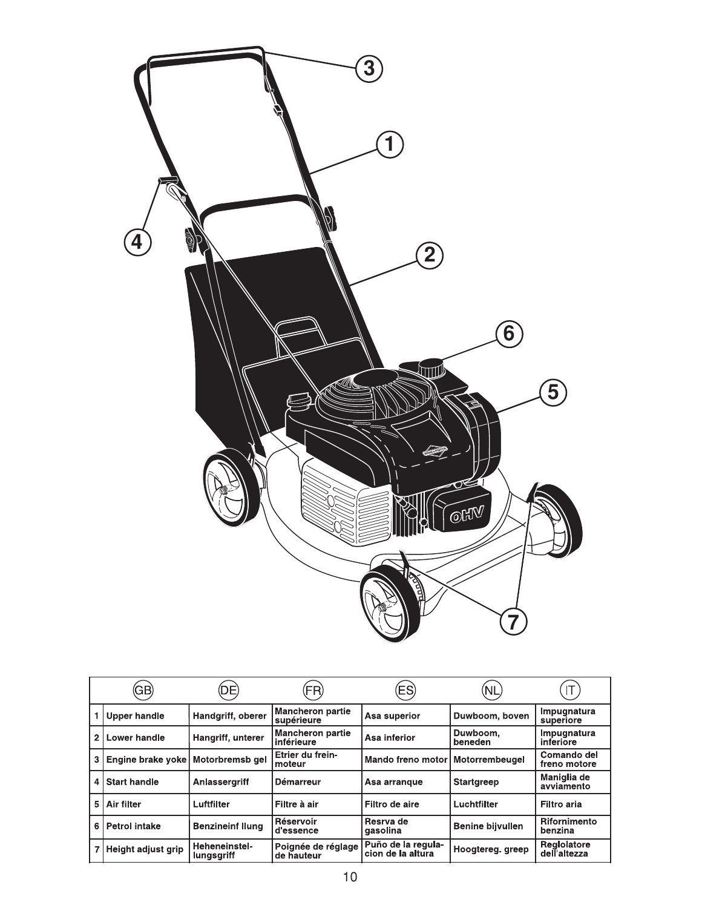

|                | GB)                  | DЕ                          | FR)                                   | ES)                                     | NL                      |                                    |
|----------------|----------------------|-----------------------------|---------------------------------------|-----------------------------------------|-------------------------|------------------------------------|
|                | Upper handle         | Handgriff, oberer           | <b>Mancheron partie</b><br>supérieure | Asa superior                            | Duwboom, boven          | Impugnatura<br>superiore           |
| $\overline{2}$ | Lower handle         | Hangriff, unterer           | <b>Mancheron partie</b><br>inférieure | Asa inferior                            | Duwboom,<br>beneden     | Impugnatura<br>inferiore           |
| 3              | Engine brake yoke    | Motorbremsb gel             | Etrier du frein-<br>moteur            | Mando freno motor   Motorrembeugel      |                         | Comando del<br>freno motore        |
| 4              | Start handle         | Anlassergriff               | <b>Démarreur</b>                      | Asa arrangue                            | <b>Startgreep</b>       | Maniglia de<br>avviamento          |
| 5              | Air filter           | Luftfilter                  | Filtre à air                          | Filtro de aire                          | Luchtfilter             | <b>Filtro aria</b>                 |
| 6              | <b>Petrol intake</b> | <b>Benzineinf Ilung</b>     | Réservoir<br>d'essence                | Resrva de<br>gasolina                   | <b>Benine bijvullen</b> | Rifornimento<br>benzina            |
| 7 <sub>1</sub> | Height adjust grip   | Heheneinstel-<br>lungsgriff | Poignée de réglage<br>de hauteur      | Puño de la regula-<br>cion de la altura | Hoogtereg greep         | <b>Reglolatore</b><br>dell'altezza |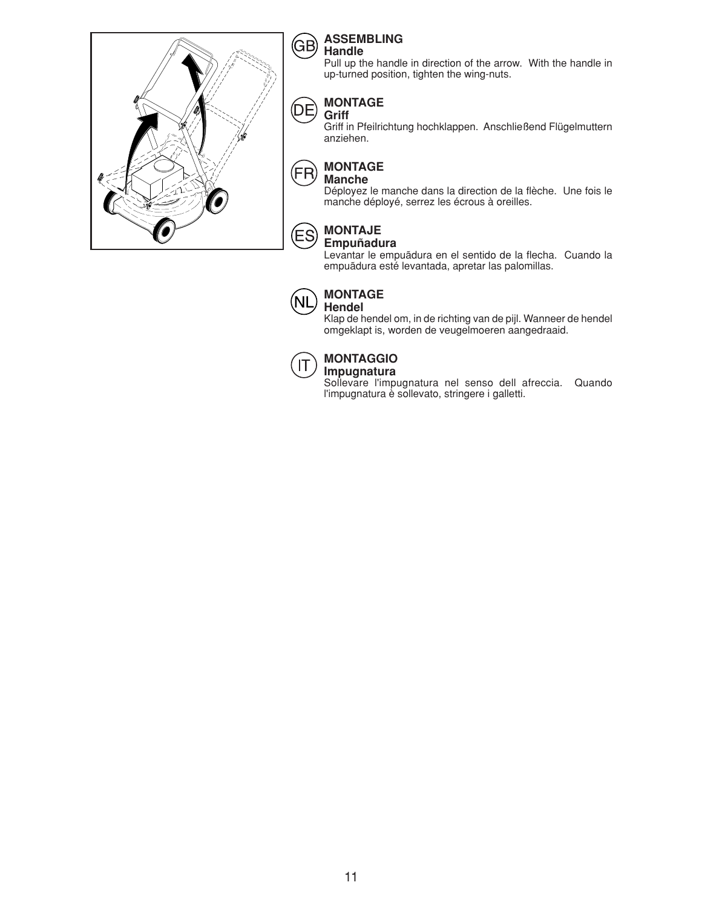

#### **ASSEMBLING** (GB) **Handle**

Pull up the handle in direction of the arrow. With the handle in up-turned position, tighten the wing-nuts.

### **MONTAGE**

**Griff**

(DE)

(FR)

ΈS

Griff in Pfeilrichtung hochklappen. Anschließend Flügelmuttern anziehen.

### **MONTAGE**

**Manche**

Déployez le manche dans la direction de la flèche. Une fois le manche déployé, serrez les écrous à oreilles.

## **MONTAJE**

### **Empuñadura**

Levantar le empuãdura en el sentido de la flecha. Cuando la empuãdura esté levantada, apretar las palomillas.



#### **MONTAGE Hendel**

Klap de hendel om, in de richting van de pijl. Wanneer de hendel omgeklapt is, worden de veugelmoeren aangedraaid.



### **MONTAGGIO**

**Impugnatura** Sollevare l'impugnatura nel senso dell afreccia. Quando l'impugnatura è sollevato, stringere i galletti.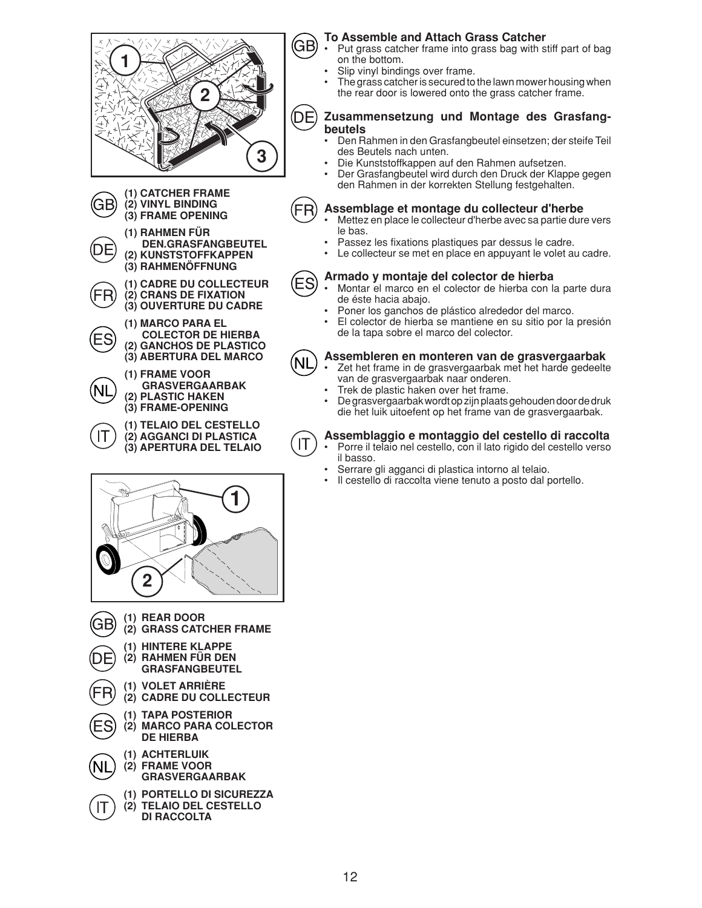

#### **To Assemble and Attach Grass Catcher**

- Put grass catcher frame into grass bag with stiff part of bag on the bottom.
- Slip vinyl bindings over frame.
- The grass catcher is secured to the lawn mower housing when the rear door is lowered onto the grass catcher frame.

#### **Zusammensetzung und Montage des Grasfangbeutels**

- Den Rahmen in den Grasfangbeutel einsetzen; der steife Teil des Beutels nach unten.
- Die Kunststoffkappen auf den Rahmen aufsetzen.
- Der Grasfangbeutel wird durch den Druck der Klappe gegen den Rahmen in der korrekten Stellung festgehalten.

#### **Assemblage et montage du collecteur d'herbe**

- Mettez en place le collecteur d'herbe avec sa partie dure vers le bas.
- Passez les fixations plastiques par dessus le cadre.
- Le collecteur se met en place en appuyant le volet au cadre.

#### **Armado y montaje del colector de hierba**

- Montar el marco en el colector de hierba con la parte dura de éste hacia abajo.
- Poner los ganchos de plástico alrededor del marco.
- El colector de hierba se mantiene en su sitio por la presión de la tapa sobre el marco del colector.

#### **Assembleren en monteren van de grasvergaarbak**

- Zet het frame in de grasvergaarbak met het harde gedeelte van de grasvergaarbak naar onderen.
- Trek de plastic haken over het frame.
- De grasvergaarbak wordt op zijn plaats gehouden door de druk die het luik uitoefent op het frame van de grasvergaarbak.

#### **Assemblaggio e montaggio del cestello di raccolta**

- Porre il telaio nel cestello, con il lato rigido del cestello verso il basso.
- Serrare gli agganci di plastica intorno al telaio.
- Il cestello di raccolta viene tenuto a posto dal portello.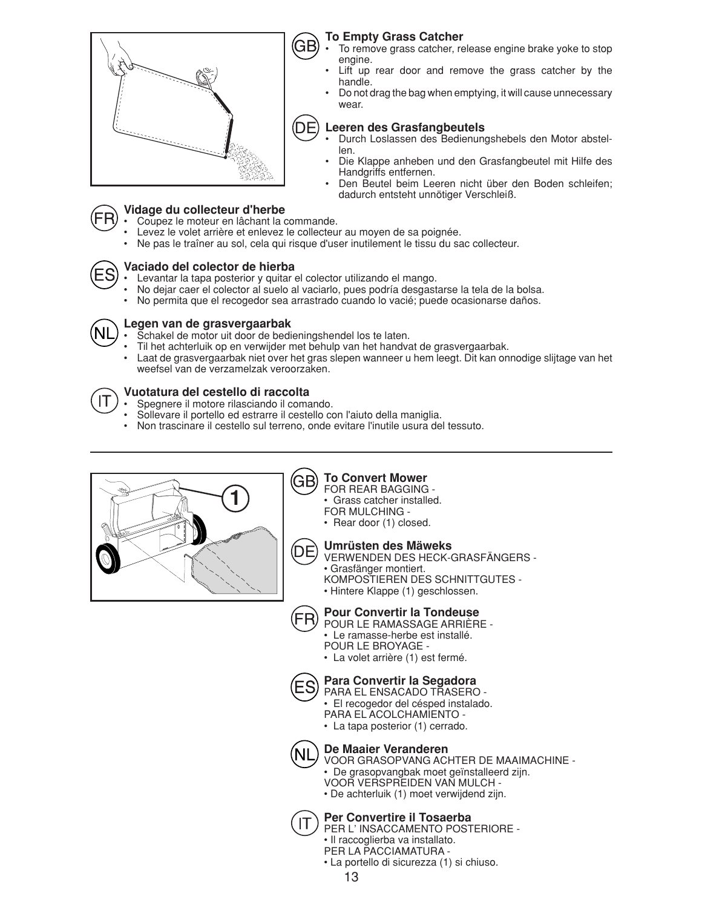

#### **To Empty Grass Catcher**

- To remove grass catcher, release engine brake yoke to stop engine.
	- Lift up rear door and remove the grass catcher by the handle.
- Do not drag the bag when emptying, it will cause unnecessary wear



#### **Leeren des Grasfangbeutels**

- Durch Loslassen des Bedienungshebels den Motor abstellen.
- Die Klappe anheben und den Grasfangbeutel mit Hilfe des Handgriffs entfernen.
- Den Beutel beim Leeren nicht über den Boden schleifen; dadurch entsteht unnötiger Verschleiß.

#### **Vidage du collecteur d'herbe**

- Coupez le moteur en lâchant la commande.
	- Levez le volet arrière et enlevez le collecteur au moyen de sa poignée.
- Ne pas le traîner au sol, cela qui risque d'user inutilement le tissu du sac collecteur.

#### **Vaciado del colector de hierba**

- Levantar la tapa posterior y quitar el colector utilizando el mango.
- No dejar caer el colector al suelo al vaciarlo, pues podría desgastarse la tela de la bolsa.
- No permita que el recogedor sea arrastrado cuando lo vacié; puede ocasionarse daños.



IT

#### **Legen van de grasvergaarbak**

- Schakel de motor uit door de bedieningshendel los te laten.
- Til het achterluik op en verwijder met behulp van het handvat de grasvergaarbak.
- Laat de grasvergaarbak niet over het gras slepen wanneer u hem leegt. Dit kan onnodige slijtage van het weefsel van de verzamelzak veroorzaken.

#### **Vuotatura del cestello di raccolta**

- Spegnere il motore rilasciando il comando.
- Sollevare il portello ed estrarre il cestello con l'aiuto della maniglia.
- Non trascinare il cestello sul terreno, onde evitare l'inutile usura del tessuto.





- FOR REAR BAGGING • Grass catcher installed.
- FOR MULCHING -
- 
- Rear door (1) closed.

#### **Umrüsten des Mäweks**

- VERWENDEN DES HECK-GRASFÄNGERS -
- Grasfänger montiert.
- KOMPOSTIEREN DES SCHNITTGUTES -
- Hintere Klappe (1) geschlossen.

#### **Pour Convertir la Tondeuse**

- POUR LE RAMASSAGE ARRIÈRE -
- Le ramasse-herbe est installé.
- POUR LE BROYAGE -
- La volet arrière (1) est fermé.

#### **Para Convertir la Segadora**

- PARA EL ENSACADO TRASERO -
- El recogedor del césped instalado. PARA EL ACOLCHAMIENTO -
- La tapa posterior (1) cerrado.
- NL

FR)

#### **De Maaier Veranderen**

VOOR GRASOPVANG ACHTER DE MAAIMACHINE - • De grasopvangbak moet geïnstalleerd zijn. VOOR VERSPREIDEN VAN MULCH - • De achterluik (1) moet verwijdend zijn.



#### **Per Convertire il Tosaerba**

- PER L' INSACCAMENTO POSTERIORE -
- Il raccoglierba va installato. PER LA PACCIAMATURA -
- La portello di sicurezza (1) si chiuso.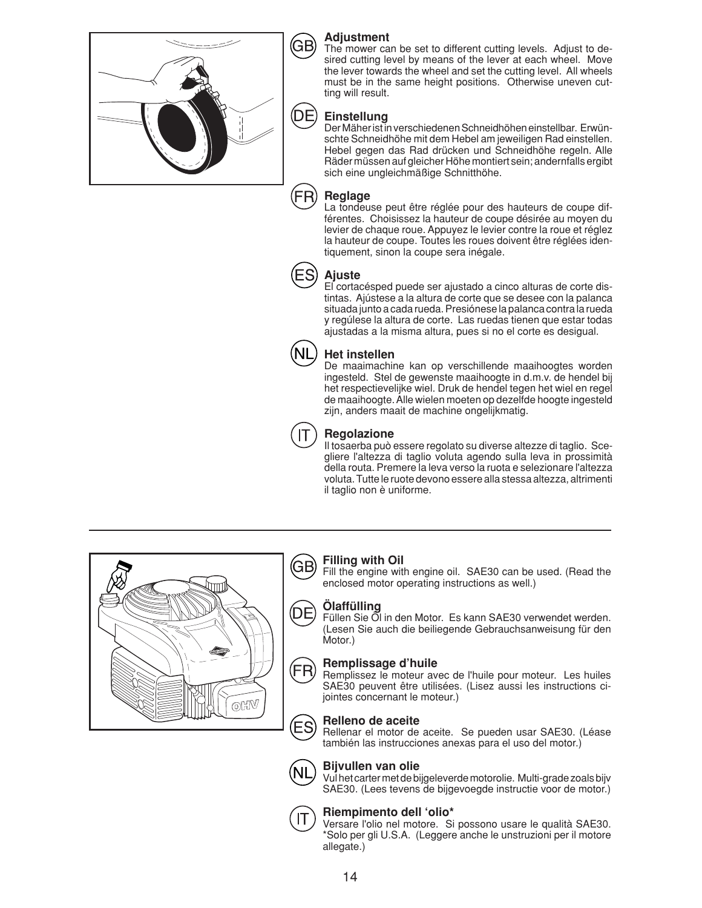

#### **Adjustment**

The mower can be set to different cutting levels. Adjust to desired cutting level by means of the lever at each wheel. Move the lever towards the wheel and set the cutting level. All wheels must be in the same height positions. Otherwise uneven cutting will result.

#### **Einstellung**

Der Mäher ist in verschiedenen Schneidhöhen einstellbar. Erwünschte Schneidhöhe mit dem Hebel am jeweiligen Rad einstellen. Hebel gegen das Rad drücken und Schneidhöhe regeln. Alle Räder müssen auf gleicher Höhe montiert sein; andernfalls ergibt sich eine ungleichmäßige Schnitthöhe.

#### FR) **Reglage**

La tondeuse peut être réglée pour des hauteurs de coupe différentes. Choisissez la hauteur de coupe désirée au moyen du levier de chaque roue. Appuyez le levier contre la roue et réglez la hauteur de coupe. Toutes les roues doivent être réglées identiquement, sinon la coupe sera inégale.



### **Ajuste**

El cortacésped puede ser ajustado a cinco alturas de corte distintas. Ajústese a la altura de corte que se desee con la palanca situada junto a cada rueda. Presiónese la palanca contra la rueda y regúlese la altura de corte. Las ruedas tienen que estar todas ajustadas a la misma altura, pues si no el corte es desigual.



#### **Het instellen**

De maaimachine kan op verschillende maaihoogtes worden ingesteld. Stel de gewenste maaihoogte in d.m.v. de hendel bij het respectievelijke wiel. Druk de hendel tegen het wiel en regel de maaihoogte. Alle wielen moeten op dezelfde hoogte ingesteld zijn, anders maait de machine ongelijkmatig.



#### **Regolazione**

Il tosaerba può essere regolato su diverse altezze di taglio. Scegliere l'altezza di taglio voluta agendo sulla leva in prossimità della routa. Premere la leva verso la ruota e selezionare l'altezza voluta. Tutte le ruote devono essere alla stessa altezza, altrimenti il taglio non è uniforme.



### **Filling with Oil**

Fill the engine with engine oil. SAE30 can be used. (Read the enclosed motor operating instructions as well.)

#### **Ölaffülling**

Füllen Sie Öl in den Motor. Es kann SAE30 verwendet werden. (Lesen Sie auch die beiliegende Gebrauchsanweisung für den Motor.)

#### **Remplissage d'huile**

Remplissez le moteur avec de l'huile pour moteur. Les huiles SAE30 peuvent être utilisées. (Lisez aussi les instructions cijointes concernant le moteur.)

#### **Relleno de aceite**

Rellenar el motor de aceite. Se pueden usar SAE30. (Léase también las instrucciones anexas para el uso del motor.)



ES

#### **Bijvullen van olie**

Vul het carter met de bijgeleverde motorolie. Multi-grade zoals bijv SAE30. (Lees tevens de bijgevoegde instructie voor de motor.)



#### **Riempimento dell 'olio\***

Versare l'olio nel motore. Si possono usare le qualità SAE30. \*Solo per gli U.S.A. (Leggere anche le unstruzioni per il motore allegate.)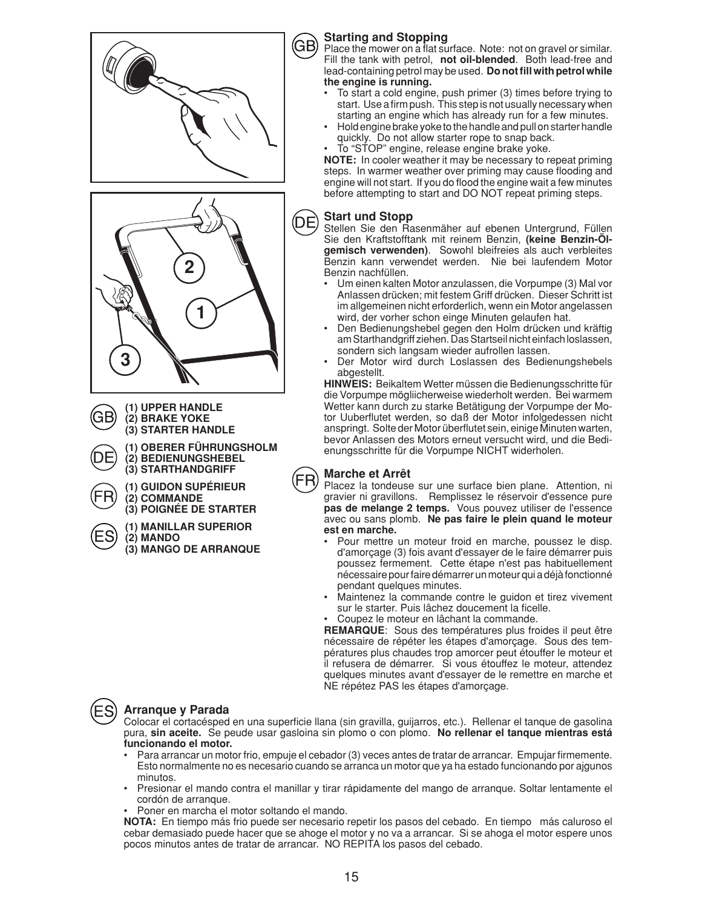



- **(1) UPPER HANDLE (2) BRAKE YOKE (3) STARTER HANDLE**
	- **(1) OBERER FÜHRUNGSHOLM (2) BEDIENUNGSHEBEL (3) STARTHANDGRIFF**
		- **(1) GUIDON SUPÉRIEUR (2) COMMANDE (3) POIGNÉE DE STARTER**

**(1) MANILLAR SUPERIOR (2) MANDO** 

**(3) MANGO DE ARRANQUE**



Place the mower on a flat surface. Note: not on gravel or similar. Fill the tank with petrol, **not oil-blended**. Both lead-free and lead-containing petrol may be used. **Do not fill with petrol while the engine is running.**

- To start a cold engine, push primer (3) times before trying to start. Use a firm push. This step is not usually necessary when starting an engine which has already run for a few minutes.
- Hold engine brake yoke to the handle and pull on starter handle quickly. Do not allow starter rope to snap back.
- To "STOP" engine, release engine brake yoke.

**NOTE:** In cooler weather it may be necessary to repeat priming steps. In warmer weather over priming may cause flooding and engine will not start. If you do flood the engine wait a few minutes before attempting to start and DO NOT repeat priming steps.

#### **Start und Stopp** (DE)

Stellen Sie den Rasenmäher auf ebenen Untergrund, Füllen Sie den Kraftstofftank mit reinem Benzin, **(keine Benzin-Ölgemisch verwenden)**. Sowohl bleifreies als auch verbleites Benzin kann verwendet werden. Nie bei laufendem Motor Benzin nachfüllen.

- Um einen kalten Motor anzulassen, die Vorpumpe (3) Mal vor Anlassen drücken; mit festem Griff drücken. Dieser Schritt ist im allgemeinen nicht erforderlich, wenn ein Motor angelassen wird, der vorher schon einge Minuten gelaufen hat.
- Den Bedienungshebel gegen den Holm drücken und kräftig am Starthandgriff ziehen. Das Startseil nicht einfach loslassen, sondern sich langsam wieder aufrollen lassen.
- Der Motor wird durch Loslassen des Bedienungshebels abgestellt.

**HINWEIS:** Beikaltem Wetter müssen die Bedienungsschritte für die Vorpumpe mögliicherweise wiederholt werden. Bei warmem Wetter kann durch zu starke Betätigung der Vorpumpe der Motor Uuberflutet werden, so daß der Motor infolgedessen nicht anspringt. Solte der Motor überflutet sein, einige Minuten warten, bevor Anlassen des Motors erneut versucht wird, und die Bedienungsschritte für die Vorpumpe NICHT widerholen.

#### **Marche et Arrêt**

Placez la tondeuse sur une surface bien plane. Attention, ni gravier ni gravillons. Remplissez le réservoir d'essence pure **pas de melange 2 temps.** Vous pouvez utiliser de l'essence avec ou sans plomb. **Ne pas faire le plein quand le moteur est en marche.**

- Pour mettre un moteur froid en marche, poussez le disp. d'amorçage (3) fois avant d'essayer de le faire démarrer puis poussez fermement. Cette étape n'est pas habituellement nécessaire pour faire démarrer un moteur qui a déjà fonctionné pendant quelques minutes.
- Maintenez la commande contre le guidon et tirez vivement sur le starter. Puis lâchez doucement la ficelle.
- Coupez le moteur en lâchant la commande.

**REMARQUE**: Sous des températures plus froides il peut être nécessaire de répéter les étapes d'amorçage. Sous des températures plus chaudes trop amorcer peut étouffer le moteur et il refusera de démarrer. Si vous étouffez le moteur, attendez quelques minutes avant d'essayer de le remettre en marche et NE répétez PAS les étapes d'amorçage.

### **Arranque y Parada**

Colocar el cortacésped en una superficie llana (sin gravilla, guijarros, etc.). Rellenar el tanque de gasolina pura, **sin aceite.** Se peude usar gasloina sin plomo o con plomo. **No rellenar el tanque mientras está funcionando el motor.**

- Para arrancar un motor frio, empuje el cebador (3) veces antes de tratar de arrancar. Empujar firmemente. Esto normalmente no es necesario cuando se arranca un motor que ya ha estado funcionando por ajgunos minutos.
- Presionar el mando contra el manillar y tirar rápidamente del mango de arranque. Soltar lentamente el cordón de arranque.
- Poner en marcha el motor soltando el mando.

**NOTA:** En tiempo más frio puede ser necesario repetir los pasos del cebado. En tiempo más caluroso el cebar demasiado puede hacer que se ahoge el motor y no va a arrancar. Si se ahoga el motor espere unos pocos minutos antes de tratar de arrancar. NO REPITA los pasos del cebado.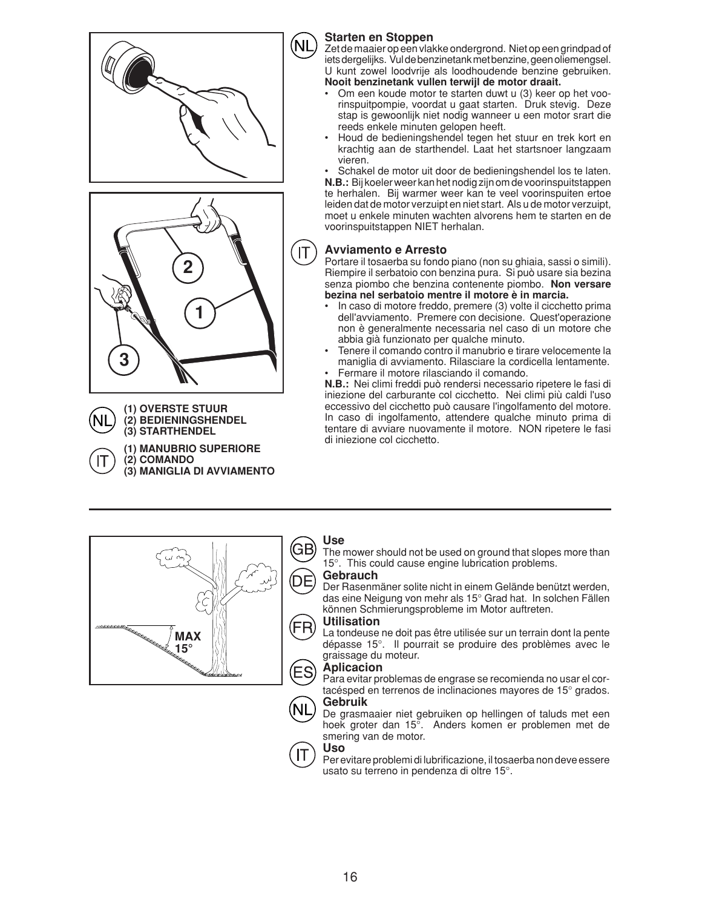



**(1) OVERSTE STUUR (2) BEDIENINGSHENDEL (3) STARTHENDEL (1) MANUBRIO SUPERIORE (2) COMANDO**  IT

**(3) MANIGLIA DI AVVIAMENTO**



**Starten en Stoppen** Zet de maaier op een vlakke ondergrond. Niet op een grindpad of iets dergelijks. Vul de benzinetank met benzine, geen oliemengsel. U kunt zowel loodvrije als loodhoudende benzine gebruiken. **Nooit benzinetank vullen terwijl de motor draait.**

#### • Om een koude motor te starten duwt u (3) keer op het voorinspuitpompie, voordat u gaat starten. Druk stevig. Deze stap is gewoonlijk niet nodig wanneer u een motor srart die reeds enkele minuten gelopen heeft.

• Houd de bedieningshendel tegen het stuur en trek kort en krachtig aan de starthendel. Laat het startsnoer langzaam vieren.

Schakel de motor uit door de bedieningshendel los te laten. **N.B.:** Bij koeler weer kan het nodig zijn om de voorinspuitstappen te herhalen. Bij warmer weer kan te veel voorinspuiten ertoe leiden dat de motor verzuipt en niet start. Als u de motor verzuipt, moet u enkele minuten wachten alvorens hem te starten en de voorinspuitstappen NIET herhalan.

### **Avviamento e Arresto**

Portare il tosaerba su fondo piano (non su ghiaia, sassi o simili). Riempire il serbatoio con benzina pura. Si può usare sia bezina senza piombo che benzina contenente piombo. **Non versare bezina nel serbatoio mentre il motore è in marcia.**

- In caso di motore freddo, premere (3) volte il cicchetto prima dell'avviamento. Premere con decisione. Quest'operazione non è generalmente necessaria nel caso di un motore che abbia già funzionato per qualche minuto.
- Tenere il comando contro il manubrio e tirare velocemente la maniglia di avviamento. Rilasciare la cordicella lentamente. • Fermare il motore rilasciando il comando.

**N.B.:** Nei climi freddi può rendersi necessario ripetere le fasi di iniezione del carburante col cicchetto. Nei climi più caldi l'uso eccessivo del cicchetto può causare l'ingolfamento del motore. In caso di ingolfamento, attendere qualche minuto prima di tentare di avviare nuovamente il motore. NON ripetere le fasi di iniezione col cicchetto.



### **Use**

The mower should not be used on ground that slopes more than 15°. This could cause engine lubrication problems.

#### **Gebrauch**

Der Rasenmäner solite nicht in einem Gelände benützt werden, das eine Neigung von mehr als 15° Grad hat. In solchen Fällen können Schmierungsprobleme im Motor auftreten.

#### **Utilisation**

La tondeuse ne doit pas être utilisée sur un terrain dont la pente dépasse 15°. Il pourrait se produire des problèmes avec le graissage du moteur.

#### **Aplicacion**

Para evitar problemas de engrase se recomienda no usar el cortacésped en terrenos de inclinaciones mayores de 15° grados. **Gebruik**

De grasmaaier niet gebruiken op hellingen of taluds met een hoek groter dan 15<sup>o</sup>. Anders komen er problemen met de smering van de motor.

#### **Uso** IT

Per evitare problemi di lubrificazione, il tosaerba non deve essere usato su terreno in pendenza di oltre 15°.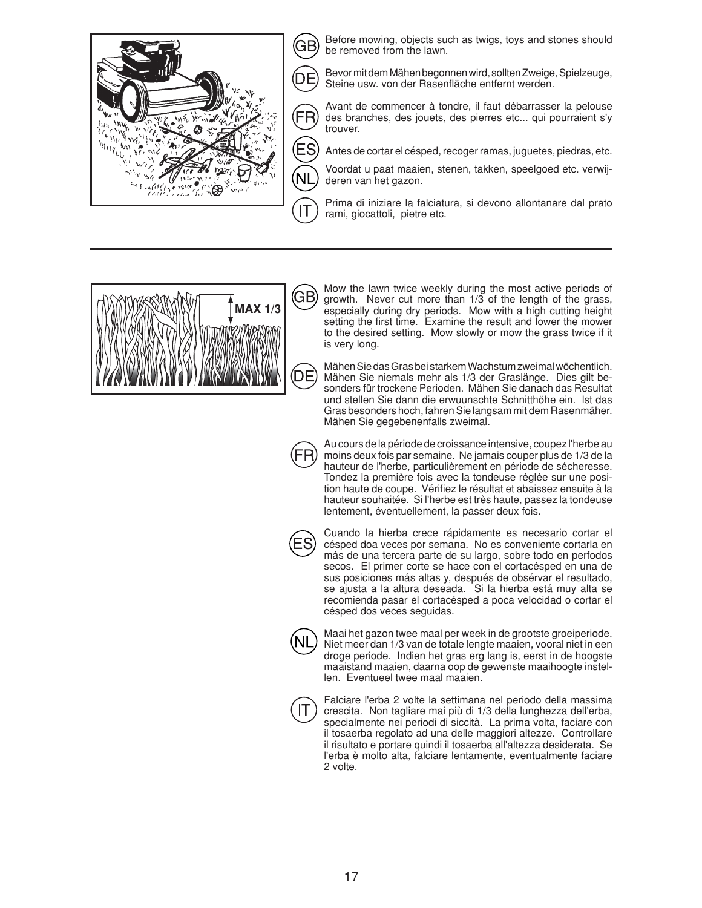



Mow the lawn twice weekly during the most active periods of growth. Never cut more than 1/3 of the length of the grass, especially during dry periods. Mow with a high cutting height setting the first time. Examine the result and lower the mower to the desired setting. Mow slowly or mow the grass twice if it is very long.

Mähen Sie das Gras bei starkem Wachstum zweimal wöchentlich. Mähen Sie niemals mehr als 1/3 der Graslänge. Dies gilt besonders für trockene Perioden. Mähen Sie danach das Resultat und stellen Sie dann die erwuunschte Schnitthöhe ein. lst das Gras besonders hoch, fahren Sie langsam mit dem Rasenmäher. Mähen Sie gegebenenfalls zweimal.



Au cours de la période de croissance intensive, coupez l'herbe au moins deux fois par semaine. Ne jamais couper plus de 1/3 de la hauteur de l'herbe, particulièrement en période de sécheresse. Tondez la première fois avec la tondeuse réglée sur une position haute de coupe. Vérifiez le résultat et abaissez ensuite à la hauteur souhaitée. Si l'herbe est très haute, passez la tondeuse lentement, éventuellement, la passer deux fois.



Cuando la hierba crece rápidamente es necesario cortar el césped doa veces por semana. No es conveniente cortarla en más de una tercera parte de su largo, sobre todo en perfodos secos. El primer corte se hace con el cortacésped en una de sus posiciones más altas y, después de obsérvar el resultado, se ajusta a la altura deseada. Si la hierba está muy alta se recomienda pasar el cortacésped a poca velocidad o cortar el césped dos veces seguidas.



Maai het gazon twee maal per week in de grootste groeiperiode. Niet meer dan 1/3 van de totale lengte maaien, vooral niet in een droge periode. Indien het gras erg lang is, eerst in de hoogste maaistand maaien, daarna oop de gewenste maaihoogte instellen. Eventueel twee maal maaien.

IT.

Falciare l'erba 2 volte la settimana nel periodo della massima crescita. Non tagliare mai più di 1/3 della lunghezza dell'erba, specialmente nei periodi di siccità. La prima volta, faciare con il tosaerba regolato ad una delle maggiori altezze. Controllare il risultato e portare quindi il tosaerba all'altezza desiderata. Se l'erba è molto alta, falciare lentamente, eventualmente faciare 2 volte.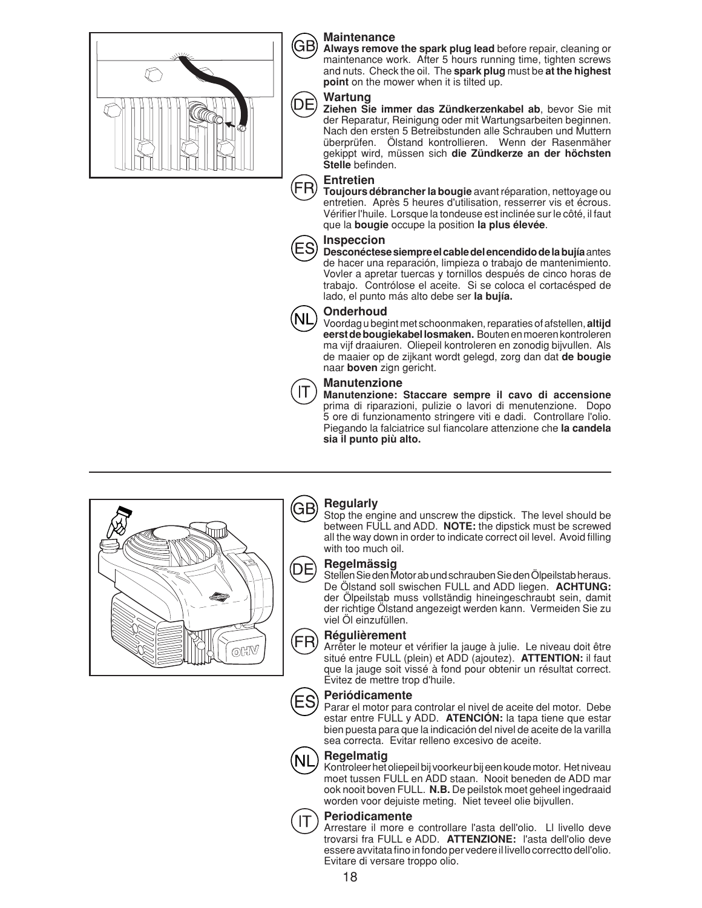



**Always remove the spark plug lead** before repair, cleaning or maintenance work. After 5 hours running time, tighten screws and nuts. Check the oil. The **spark plug** must be **at the highest point** on the mower when it is tilted up.

#### **Wartung**

**Ziehen Sie immer das Zündkerzenkabel ab**, bevor Sie mit der Reparatur, Reinigung oder mit Wartungsarbeiten beginnen. Nach den ersten 5 Betreibstunden alle Schrauben und Muttern überprüfen. Ölstand kontrollieren. Wenn der Rasenmäher gekippt wird, müssen sich **die Zündkerze an der höchsten**  Stelle befinden.



DE

#### **Entretien**

**Toujours débrancher la bougie** avant réparation, nettoyage ou entretien. Après 5 heures d'utilisation, resserrer vis et écrous. Vérifier l'huile. Lorsque la tondeuse est inclinée sur le côté, il faut que la **bougie** occupe la position **la plus élevée**.



#### **Inspeccion**

**Desconéctese siempre el cable del encendido de la bujía** antes de hacer una reparación, limpieza o trabajo de mantenimiento. Vovler a apretar tuercas y tornillos después de cinco horas de trabajo. Contrólose el aceite. Si se coloca el cortacésped de lado, el punto más alto debe ser **la bujía.**



#### **Onderhoud**

Voordag u begint met schoonmaken, reparaties of afstellen, **altijd eerst de bougiekabel losmaken.** Bouten en moeren kontroleren ma vijf draaiuren. Oliepeil kontroleren en zonodig bijvullen. Als de maaier op de zijkant wordt gelegd, zorg dan dat **de bougie**  naar **boven** zign gericht.



GB)

#### **Manutenzione**

**Manutenzione: Staccare sempre il cavo di accensione** prima di riparazioni, pulizie o lavori di menutenzione. Dopo 5 ore di funzionamento stringere viti e dadi. Controllare l'olio. Piegando la falciatrice sul fiancolare attenzione che la candela **sia il punto più alto.**



### **Regularly**

Stop the engine and unscrew the dipstick. The level should be between FULL and ADD. **NOTE:** the dipstick must be screwed all the way down in order to indicate correct oil level. Avoid filling with too much oil.

#### **Regelmässig**

Stellen Sie den Motor ab und schrauben Sie den Ölpeilstab heraus. De Ölstand soll swischen FULL and ADD liegen. **ACHTUNG:**  der Ölpeilstab muss vollständig hineingeschraubt sein, damit der richtige Ölstand angezeigt werden kann. Vermeiden Sie zu viel Öl einzufüllen.

#### **Régulièrement**

Arrêter le moteur et vérifier la jauge à julie. Le niveau doit être situé entre FULL (plein) et ADD (ajoutez). **ATTENTION:** il faut que la jauge soit vissé à fond pour obtenir un résultat correct. Evitez de mettre trop d'huile.



FR)

#### **Periódicamente**

Parar el motor para controlar el nivel de aceite del motor. Debe estar entre FULL y ADD. **ATENCIÓN:** la tapa tiene que estar bien puesta para que la indicación del nivel de aceite de la varilla sea correcta. Evitar relleno excesivo de aceite.



#### **Regelmatig**

Kontroleer het oliepeil bij voorkeur bij een koude motor. Het niveau moet tussen FULL en ADD staan. Nooit beneden de ADD mar ook nooit boven FULL. **N.B.** De peilstok moet geheel ingedraaid worden voor dejuiste meting. Niet teveel olie bijvullen.



#### **Periodicamente**

Arrestare il more e controllare l'asta dell'olio. Ll livello deve trovarsi fra FULL e ADD. **ATTENZIONE:** l'asta dell'olio deve essere avvitata fino in fondo per vedere il livello correctto dell'olio. Evitare di versare troppo olio.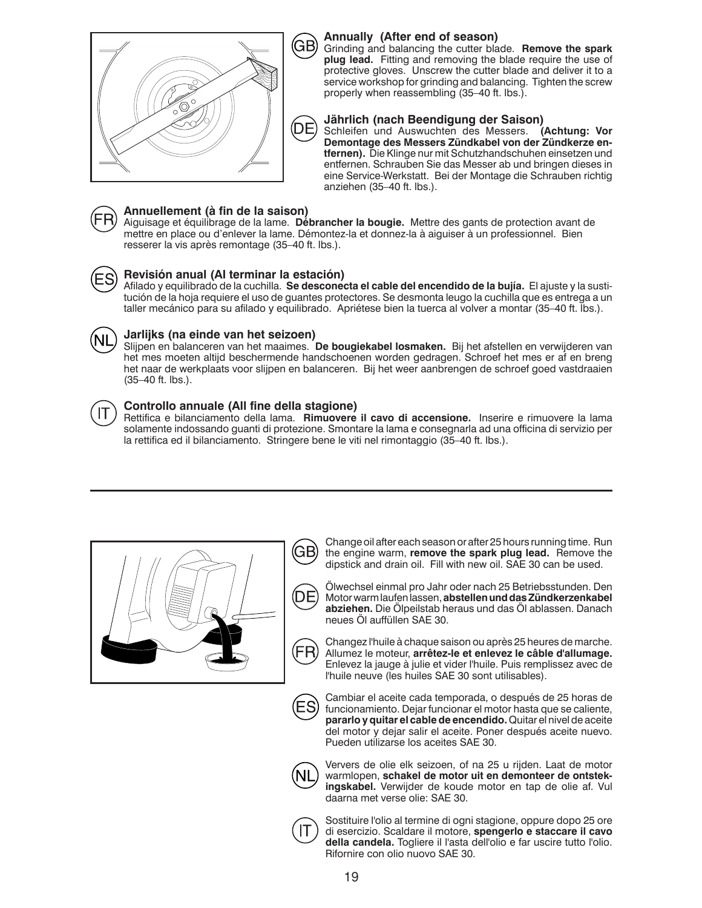

#### **Annually (After end of season)**

Grinding and balancing the cutter blade. **Remove the spark plug lead.** Fitting and removing the blade require the use of protective gloves. Unscrew the cutter blade and deliver it to a service workshop for grinding and balancing. Tighten the screw properly when reassembling (35-40 ft. lbs.).

#### **Jährlich (nach Beendigung der Saison)**

Schleifen und Auswuchten des Messers. **(Achtung: Vor Demontage des Messers Zündkabel von der Zündkerze entfernen).** Die Klinge nur mit Schutzhandschuhen einsetzen und entfernen. Schrauben Sie das Messer ab und bringen dieses in eine Service-Werkstatt. Bei der Montage die Schrauben richtig anziehen (35–40 ft. lbs.).



#### **Annuellement (à fin de la saison)**

Aiguisage et équilibrage de la lame. **Débrancher la bougie.** Mettre des gants de protection avant de mettre en place ou d'enlever la lame. Démontez-la et donnez-la à aiguiser à un professionnel. Bien resserer la vis après remontage (35–40 ft. lbs.).

#### **Revisión anual (Al terminar la estación)**

Afilado y equilibrado de la cuchilla. **Se desconecta el cable del encendido de la bujía.** El ajuste y la sustitución de la hoja requiere el uso de guantes protectores. Se desmonta leugo la cuchilla que es entrega a un taller mecánico para su afilado y equilibrado. Apriétese bien la tuerca al volver a montar (35–40 ft. lbs.).

#### **Jarlijks (na einde van het seizoen)**

Slijpen en balanceren van het maaimes. **De bougiekabel losmaken.** Bij het afstellen en verwijderen van het mes moeten altijd beschermende handschoenen worden gedragen. Schroef het mes er af en breng het naar de werkplaats voor slijpen en balanceren. Bij het weer aanbrengen de schroef goed vastdraaien (35–40 ft. lbs.).



#### **Controllo annuale (All fine della stagione)**

Rettifica e bilanciamento della lama. **Rimuovere il cavo di accensione.** Inserire e rimuovere la lama solamente indossando guanti di protezione. Smontare la lama e consegnarla ad una officina di servizio per la rettifica ed il bilanciamento. Stringere bene le viti nel rimontaggio (35–40 ft. lbs.).



Change oil after each season or after 25 hours running time. Run GB the engine warm, **remove the spark plug lead.** Remove the dipstick and drain oil. Fill with new oil. SAE 30 can be used.

Ölwechsel einmal pro Jahr oder nach 25 Betriebsstunden. Den Motor warm laufen lassen, **abstellen und das Zündkerzenkabel abziehen.** Die Ölpeilstab heraus und das Öl ablassen. Danach neues Öl auffüllen SAE 30.

Changez l'huile à chaque saison ou après 25 heures de marche. Allumez le moteur, **arrêtez-le et enlevez le câble d'allumage.** Enlevez la jauge à julie et vider l'huile. Puis remplissez avec de l'huile neuve (les huiles SAE 30 sont utilisables).



Cambiar el aceite cada temporada, o después de 25 horas de funcionamiento. Dejar funcionar el motor hasta que se caliente, **pararlo y quitar el cable de encendido.** Quitar el nivel de aceite del motor y dejar salir el aceite. Poner después aceite nuevo. Pueden utilizarse los aceites SAE 30.



Ververs de olie elk seizoen, of na 25 u rijden. Laat de motor warmlopen, **schakel de motor uit en demonteer de ontstekingskabel.** Verwijder de koude motor en tap de olie af. Vul daarna met verse olie: SAE 30.



Sostituire l'olio al termine di ogni stagione, oppure dopo 25 ore di esercizio. Scaldare il motore, **spengerlo e staccare il cavo della candela.** Togliere il l'asta dell'olio e far uscire tutto l'olio. Rifornire con olio nuovo SAE 30.